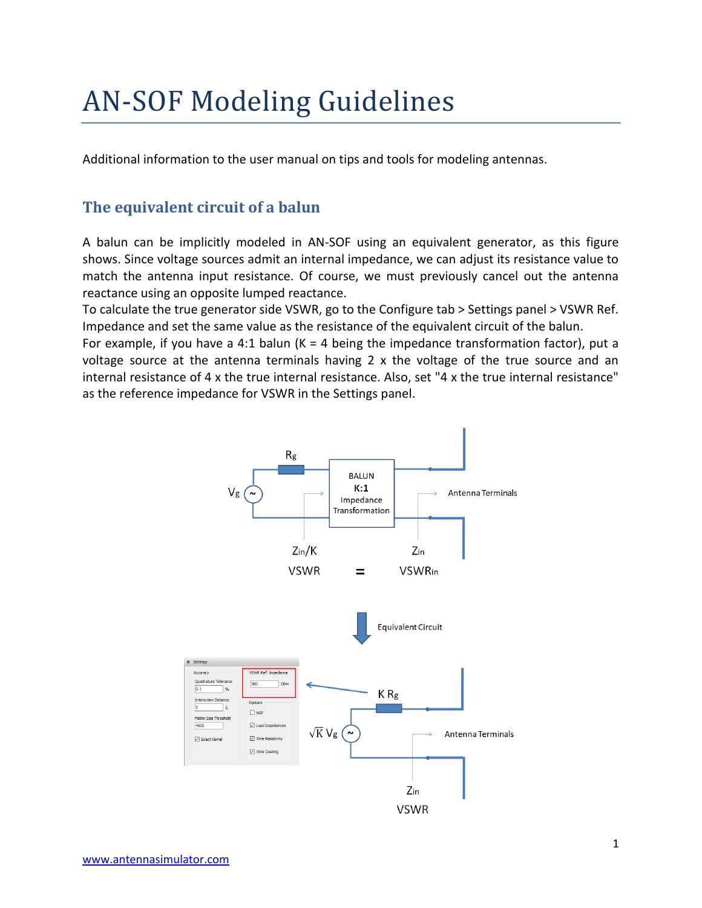# AN-SOF Modeling Guidelines

Additional information to the user manual on tips and tools for modeling antennas.

## **The equivalent circuit of a balun**

A balun can be implicitly modeled in AN-SOF using an equivalent generator, as this figure shows. Since voltage sources admit an internal impedance, we can adjust its resistance value to match the antenna input resistance. Of course, we must previously cancel out the antenna reactance using an opposite lumped reactance.

To calculate the true generator side VSWR, go to the Configure tab > Settings panel > VSWR Ref. Impedance and set the same value as the resistance of the equivalent circuit of the balun.

For example, if you have a 4:1 balun ( $K = 4$  being the impedance transformation factor), put a voltage source at the antenna terminals having 2 x the voltage of the true source and an internal resistance of 4 x the true internal resistance. Also, set "4 x the true internal resistance" as the reference impedance for VSWR in the Settings panel.

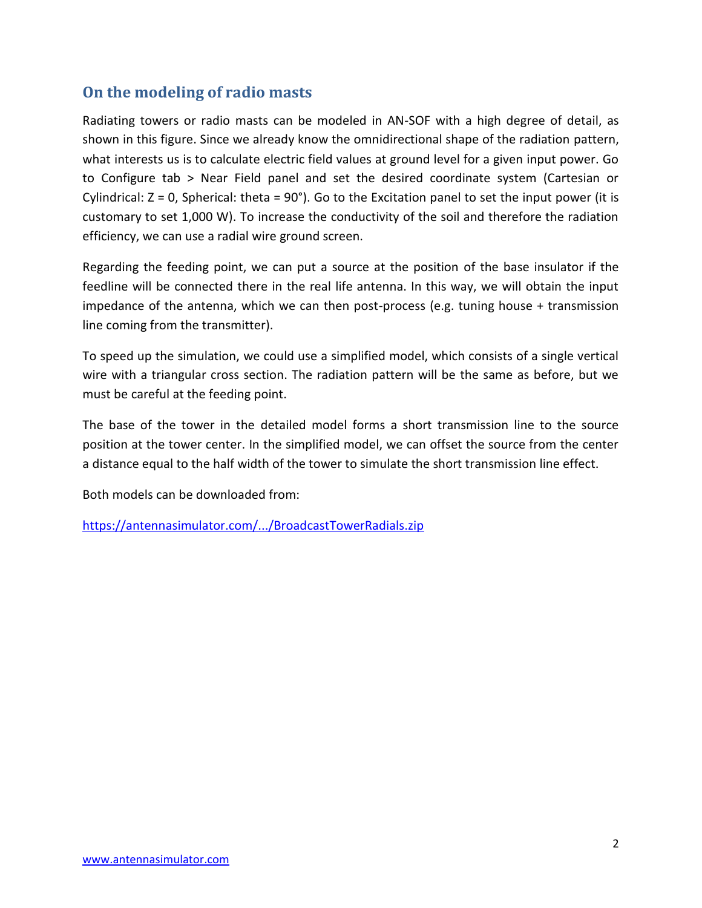## **On the modeling of radio masts**

Radiating towers or radio masts can be modeled in AN-SOF with a high degree of detail, as shown in this figure. Since we already know the omnidirectional shape of the radiation pattern, what interests us is to calculate electric field values at ground level for a given input power. Go to Configure tab > Near Field panel and set the desired coordinate system (Cartesian or Cylindrical:  $Z = 0$ , Spherical: theta = 90°). Go to the Excitation panel to set the input power (it is customary to set 1,000 W). To increase the conductivity of the soil and therefore the radiation efficiency, we can use a radial wire ground screen.

Regarding the feeding point, we can put a source at the position of the base insulator if the feedline will be connected there in the real life antenna. In this way, we will obtain the input impedance of the antenna, which we can then post-process (e.g. tuning house + transmission line coming from the transmitter).

To speed up the simulation, we could use a simplified model, which consists of a single vertical wire with a triangular cross section. The radiation pattern will be the same as before, but we must be careful at the feeding point.

The base of the tower in the detailed model forms a short transmission line to the source position at the tower center. In the simplified model, we can offset the source from the center a distance equal to the half width of the tower to simulate the short transmission line effect.

Both models can be downloaded from:

[https://antennasimulator.com/.../BroadcastTowerRadials.zip](https://antennasimulator.com/examples/BroadcastTowerRadials.zip?fbclid=IwAR1i1HMjHp0Or4WebiLqlumtRVjOLqXrEQYx-KPuMw5mefGt1RgBQvHOU2E)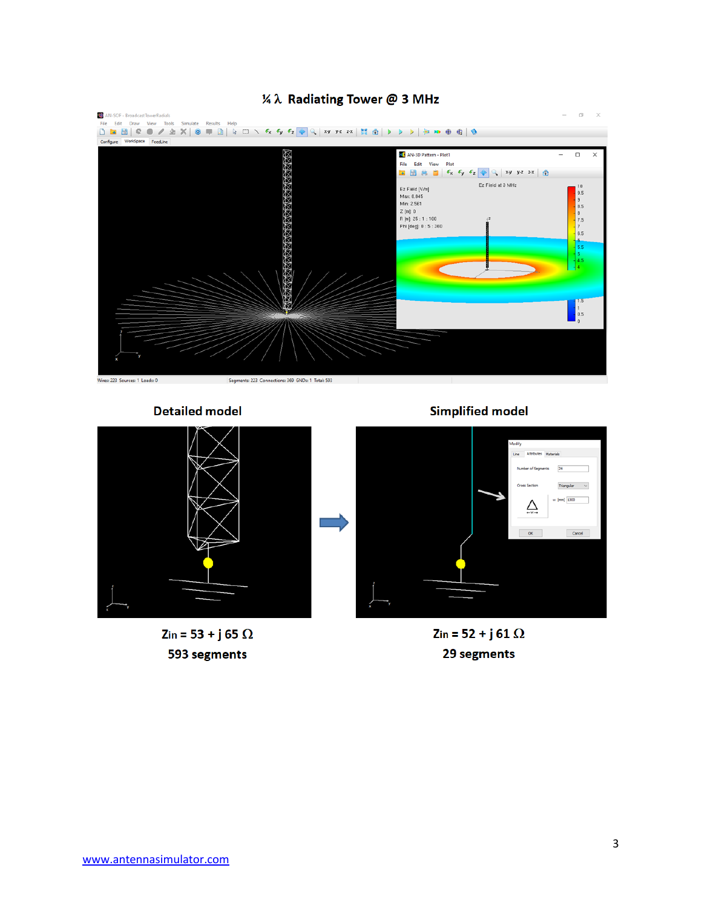

#### 1/4 λ Radiating Tower @ 3 MHz

**Detailed model** 



Zin = 53 + j 65  $\Omega$ 593 segments

**Simplified model** 



Zin = 52 + j 61  $\Omega$ 29 segments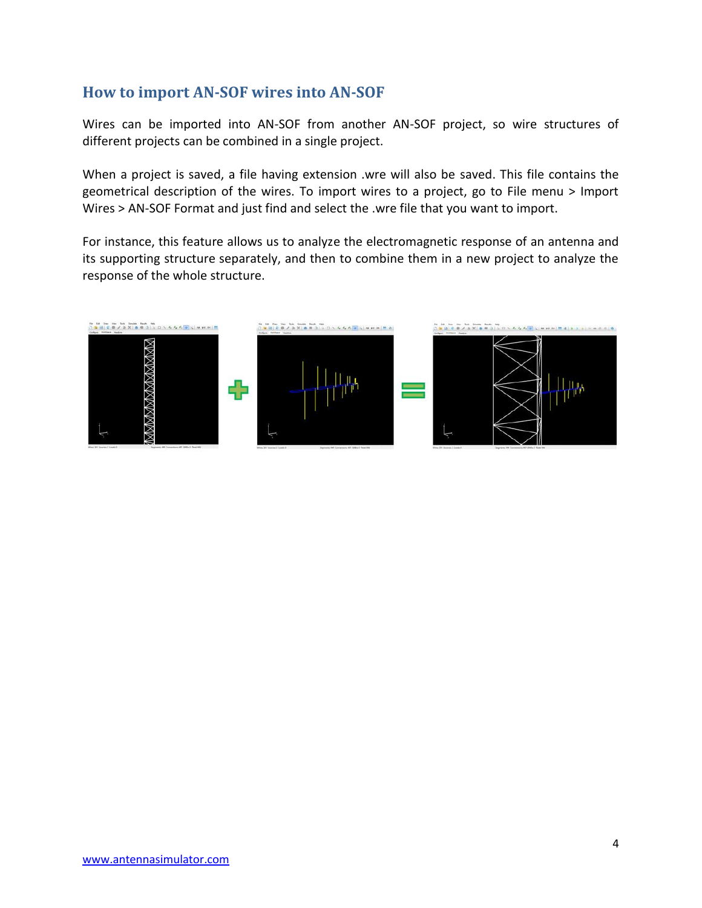### **How to import AN-SOF wires into AN-SOF**

Wires can be imported into AN-SOF from another AN-SOF project, so wire structures of different projects can be combined in a single project.

When a project is saved, a file having extension .wre will also be saved. This file contains the geometrical description of the wires. To import wires to a project, go to File menu > Import Wires > AN-SOF Format and just find and select the .wre file that you want to import.

For instance, this feature allows us to analyze the electromagnetic response of an antenna and its supporting structure separately, and then to combine them in a new project to analyze the response of the whole structure.